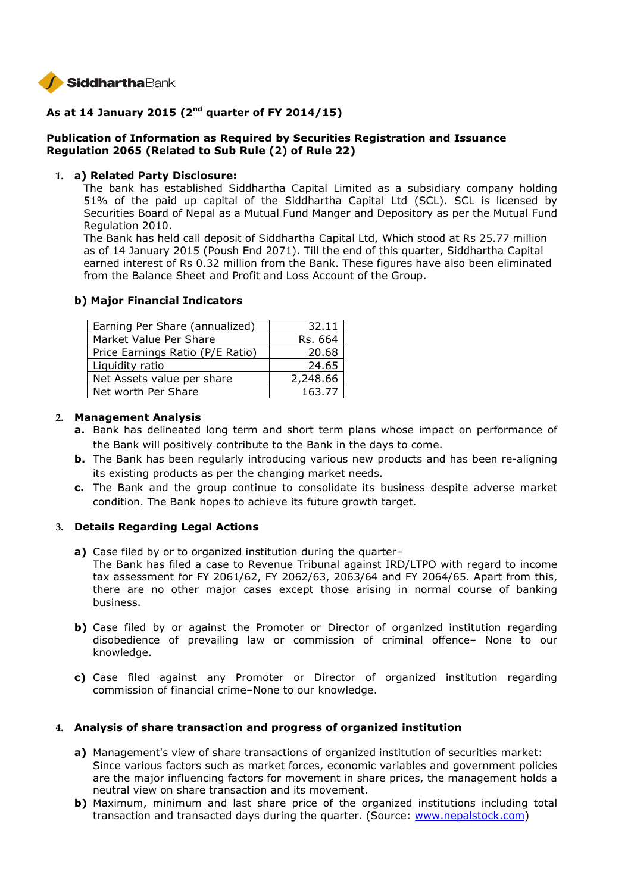

# **As at 14 January 2015 (2nd quarter of FY 2014/15)**

# **Publication of Information as Required by Securities Registration and Issuance Regulation 2065 (Related to Sub Rule (2) of Rule 22)**

#### **1. a) Related Party Disclosure:**

The bank has established Siddhartha Capital Limited as a subsidiary company holding 51% of the paid up capital of the Siddhartha Capital Ltd (SCL). SCL is licensed by Securities Board of Nepal as a Mutual Fund Manger and Depository as per the Mutual Fund Regulation 2010.

The Bank has held call deposit of Siddhartha Capital Ltd, Which stood at Rs 25.77 million as of 14 January 2015 (Poush End 2071). Till the end of this quarter, Siddhartha Capital earned interest of Rs 0.32 million from the Bank. These figures have also been eliminated from the Balance Sheet and Profit and Loss Account of the Group.

#### **b) Major Financial Indicators**

| Earning Per Share (annualized)   | 32.11    |
|----------------------------------|----------|
| Market Value Per Share           | Rs. 664  |
| Price Earnings Ratio (P/E Ratio) | 20.68    |
| Liquidity ratio                  | 24.65    |
| Net Assets value per share       | 2,248.66 |
| Net worth Per Share              | 163.77   |

#### **2. Management Analysis**

- **a.** Bank has delineated long term and short term plans whose impact on performance of the Bank will positively contribute to the Bank in the days to come.
- **b.** The Bank has been regularly introducing various new products and has been re-aligning its existing products as per the changing market needs.
- **c.** The Bank and the group continue to consolidate its business despite adverse market condition. The Bank hopes to achieve its future growth target.

# **3. Details Regarding Legal Actions**

- **a)** Case filed by or to organized institution during the quarter– The Bank has filed a case to Revenue Tribunal against IRD/LTPO with regard to income tax assessment for FY 2061/62, FY 2062/63, 2063/64 and FY 2064/65. Apart from this, there are no other major cases except those arising in normal course of banking business.
- **b)** Case filed by or against the Promoter or Director of organized institution regarding disobedience of prevailing law or commission of criminal offence– None to our knowledge.
- **c)** Case filed against any Promoter or Director of organized institution regarding commission of financial crime–None to our knowledge.

# **4. Analysis of share transaction and progress of organized institution**

- **a)** Management's view of share transactions of organized institution of securities market: Since various factors such as market forces, economic variables and government policies are the major influencing factors for movement in share prices, the management holds a neutral view on share transaction and its movement.
- **b)** Maximum, minimum and last share price of the organized institutions including total transaction and transacted days during the quarter. (Source: www.nepalstock.com)